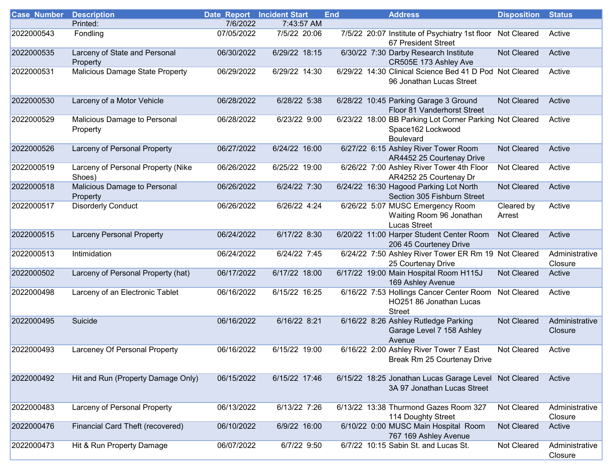| <b>Case_Number</b> | <b>Description</b>                           | <b>Date_Report</b> Incident Start |               | <b>End</b><br><b>Address</b>                                                              | <b>Disposition</b>   | <b>Status</b>             |
|--------------------|----------------------------------------------|-----------------------------------|---------------|-------------------------------------------------------------------------------------------|----------------------|---------------------------|
|                    | Printed:                                     | 7/6/2022                          | 7:43:57 AM    |                                                                                           |                      |                           |
| 2022000543         | Fondling                                     | 07/05/2022                        | 7/5/22 20:06  | 7/5/22 20:07 Institute of Psychiatry 1st floor<br>67 President Street                     | Not Cleared          | Active                    |
| 2022000535         | Larceny of State and Personal<br>Property    | 06/30/2022                        | 6/29/22 18:15 | 6/30/22 7:30 Darby Research Institute<br>CR505E 173 Ashley Ave                            | Not Cleared          | Active                    |
| 2022000531         | <b>Malicious Damage State Property</b>       | 06/29/2022                        | 6/29/22 14:30 | 6/29/22 14:30 Clinical Science Bed 41 D Pod Not Cleared<br>96 Jonathan Lucas Street       |                      | Active                    |
| 2022000530         | Larceny of a Motor Vehicle                   | 06/28/2022                        | 6/28/22 5:38  | 6/28/22 10:45 Parking Garage 3 Ground<br>Floor 81 Vanderhorst Street                      | Not Cleared          | Active                    |
| 2022000529         | Malicious Damage to Personal<br>Property     | 06/28/2022                        | 6/23/22 9:00  | 6/23/22 18:00 BB Parking Lot Corner Parking Not Cleared<br>Space162 Lockwood<br>Boulevard |                      | Active                    |
| 2022000526         | Larceny of Personal Property                 | 06/27/2022                        | 6/24/22 16:00 | 6/27/22 6:15 Ashley River Tower Room<br>AR4452 25 Courtenay Drive                         | Not Cleared          | Active                    |
| 2022000519         | Larceny of Personal Property (Nike<br>Shoes) | 06/26/2022                        | 6/25/22 19:00 | 6/26/22 7:00 Ashley River Tower 4th Floor<br>AR4252 25 Courtenay Dr                       | Not Cleared          | Active                    |
| 2022000518         | Malicious Damage to Personal<br>Property     | 06/26/2022                        | 6/24/22 7:30  | 6/24/22 16:30 Hagood Parking Lot North<br>Section 305 Fishburn Street                     | Not Cleared          | Active                    |
| 2022000517         | <b>Disorderly Conduct</b>                    | 06/26/2022                        | 6/26/22 4:24  | 6/26/22 5:07 MUSC Emergency Room<br>Waiting Room 96 Jonathan<br><b>Lucas Street</b>       | Cleared by<br>Arrest | Active                    |
| 2022000515         | <b>Larceny Personal Property</b>             | 06/24/2022                        | 6/17/22 8:30  | 6/20/22 11:00 Harper Student Center Room<br>206 45 Courteney Drive                        | Not Cleared          | Active                    |
| 2022000513         | Intimidation                                 | 06/24/2022                        | 6/24/22 7:45  | 6/24/22 7:50 Ashley River Tower ER Rm 19 Not Cleared<br>25 Courtenay Drive                |                      | Administrative<br>Closure |
| 2022000502         | Larceny of Personal Property (hat)           | 06/17/2022                        | 6/17/22 18:00 | 6/17/22 19:00 Main Hospital Room H115J<br>169 Ashley Avenue                               | <b>Not Cleared</b>   | Active                    |
| 2022000498         | Larceny of an Electronic Tablet              | 06/16/2022                        | 6/15/22 16:25 | 6/16/22 7:53 Hollings Cancer Center Room<br>HO251 86 Jonathan Lucas<br><b>Street</b>      | Not Cleared          | Active                    |
| 2022000495         | Suicide                                      | 06/16/2022                        | 6/16/22 8:21  | 6/16/22 8:26 Ashley Rutledge Parking<br>Garage Level 7 158 Ashley<br>Avenue               | Not Cleared          | Administrative<br>Closure |
| 2022000493         | Larceney Of Personal Property                | 06/16/2022                        | 6/15/22 19:00 | 6/16/22 2:00 Ashley River Tower 7 East<br>Break Rm 25 Courtenay Drive                     | Not Cleared          | Active                    |
| 2022000492         | Hit and Run (Property Damage Only)           | 06/15/2022                        | 6/15/22 17:46 | 6/15/22 18:25 Jonathan Lucas Garage Level<br>3A 97 Jonathan Lucas Street                  | <b>Not Cleared</b>   | Active                    |
| 2022000483         | Larceny of Personal Property                 | 06/13/2022                        | 6/13/22 7:26  | 6/13/22 13:38 Thurmond Gazes Room 327<br>114 Doughty Street                               | Not Cleared          | Administrative<br>Closure |
| 2022000476         | Financial Card Theft (recovered)             | 06/10/2022                        | 6/9/22 16:00  | 6/10/22 0:00 MUSC Main Hospital Room<br>767 169 Ashley Avenue                             | Not Cleared          | Active                    |
| 2022000473         | Hit & Run Property Damage                    | 06/07/2022                        | 6/7/22 9:50   | 6/7/22 10:15 Sabin St. and Lucas St.                                                      | Not Cleared          | Administrative<br>Closure |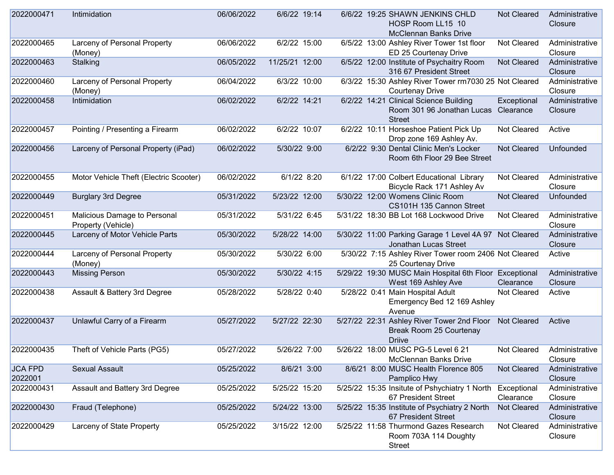| 2022000471                | Intimidation                                       | 06/06/2022 | 6/6/22 19:14   | 6/6/22 19:25 SHAWN JENKINS CHLD<br><b>Not Cleared</b><br>HOSP Room LL15 10<br><b>McClennan Banks Drive</b>     | Administrative<br>Closure |
|---------------------------|----------------------------------------------------|------------|----------------|----------------------------------------------------------------------------------------------------------------|---------------------------|
| 2022000465                | Larceny of Personal Property<br>(Money)            | 06/06/2022 | 6/2/22 15:00   | 6/5/22 13:00 Ashley River Tower 1st floor<br>Not Cleared<br>ED 25 Courtenay Drive                              | Administrative<br>Closure |
| 2022000463                | Stalking                                           | 06/05/2022 | 11/25/21 12:00 | 6/5/22 12:00 Institute of Psychaitry Room<br>Not Cleared<br>316 67 President Street                            | Administrative<br>Closure |
| 2022000460                | Larceny of Personal Property<br>(Money)            | 06/04/2022 | 6/3/22 10:00   | 6/3/22 15:30 Ashley River Tower rm7030 25 Not Cleared<br><b>Courtenay Drive</b>                                | Administrative<br>Closure |
| 2022000458                | Intimidation                                       | 06/02/2022 | 6/2/22 14:21   | 6/2/22 14:21 Clinical Science Building<br>Exceptional<br>Room 301 96 Jonathan Lucas Clearance<br><b>Street</b> | Administrative<br>Closure |
| 2022000457                | Pointing / Presenting a Firearm                    | 06/02/2022 | 6/2/22 10:07   | 6/2/22 10:11 Horseshoe Patient Pick Up<br>Not Cleared<br>Drop zone 169 Ashley Av.                              | Active                    |
| 2022000456                | Larceny of Personal Property (iPad)                | 06/02/2022 | 5/30/22 9:00   | 6/2/22 9:30 Dental Clinic Men's Locker<br>Not Cleared<br>Room 6th Floor 29 Bee Street                          | Unfounded                 |
| 2022000455                | Motor Vehicle Theft (Electric Scooter)             | 06/02/2022 | 6/1/22 8:20    | 6/1/22 17:00 Colbert Educational Library<br>Not Cleared<br>Bicycle Rack 171 Ashley Av                          | Administrative<br>Closure |
| 2022000449                | <b>Burglary 3rd Degree</b>                         | 05/31/2022 | 5/23/22 12:00  | 5/30/22 12:00 Womens Clinic Room<br><b>Not Cleared</b><br>CS101H 135 Cannon Street                             | Unfounded                 |
| 2022000451                | Malicious Damage to Personal<br>Property (Vehicle) | 05/31/2022 | 5/31/22 6:45   | 5/31/22 18:30 BB Lot 168 Lockwood Drive<br>Not Cleared                                                         | Administrative<br>Closure |
| 2022000445                | Larceny of Motor Vehicle Parts                     | 05/30/2022 | 5/28/22 14:00  | 5/30/22 11:00 Parking Garage 1 Level 4A 97 Not Cleared<br>Jonathan Lucas Street                                | Administrative<br>Closure |
| 2022000444                | Larceny of Personal Property<br>(Money)            | 05/30/2022 | 5/30/22 6:00   | 5/30/22 7:15 Ashley River Tower room 2406 Not Cleared<br>25 Courtenay Drive                                    | Active                    |
| 2022000443                | <b>Missing Person</b>                              | 05/30/2022 | 5/30/22 4:15   | 5/29/22 19:30 MUSC Main Hospital 6th Floor Exceptional<br>West 169 Ashley Ave<br>Clearance                     | Administrative<br>Closure |
| 2022000438                | Assault & Battery 3rd Degree                       | 05/28/2022 | 5/28/22 0:40   | 5/28/22 0:41 Main Hospital Adult<br>Not Cleared<br>Emergency Bed 12 169 Ashley<br>Avenue                       | Active                    |
| 2022000437                | Unlawful Carry of a Firearm                        | 05/27/2022 | 5/27/22 22:30  | 5/27/22 22:31 Ashley River Tower 2nd Floor<br><b>Not Cleared</b><br>Break Room 25 Courtenay<br><b>Driive</b>   | Active                    |
| 2022000435                | Theft of Vehicle Parts (PG5)                       | 05/27/2022 | 5/26/22 7:00   | 5/26/22 18:00 MUSC PG-5 Level 6 21<br>Not Cleared<br><b>McClennan Banks Drive</b>                              | Administrative<br>Closure |
| <b>JCA FPD</b><br>2022001 | <b>Sexual Assault</b>                              | 05/25/2022 | 8/6/21 3:00    | 8/6/21 8:00 MUSC Health Florence 805<br>Not Cleared<br>Pamplico Hwy                                            | Administrative<br>Closure |
| 2022000431                | Assault and Battery 3rd Degree                     | 05/25/2022 | 5/25/22 15:20  | 5/25/22 15:35 Insitute of Pshychiatry 1 North<br>Exceptional<br>67 President Street<br>Clearance               | Administrative<br>Closure |
| 2022000430                | Fraud (Telephone)                                  | 05/25/2022 | 5/24/22 13:00  | 5/25/22 15:35 Institute of Psychiatry 2 North<br><b>Not Cleared</b><br>67 President Street                     | Administrative<br>Closure |
| 2022000429                | Larceny of State Property                          | 05/25/2022 | 3/15/22 12:00  | 5/25/22 11:58 Thurmond Gazes Research<br>Not Cleared<br>Room 703A 114 Doughty<br><b>Street</b>                 | Administrative<br>Closure |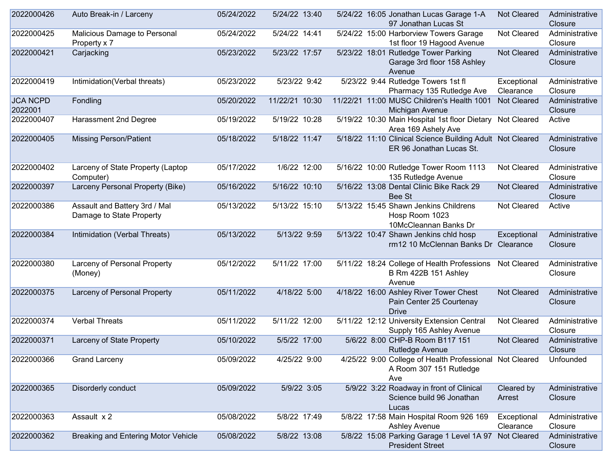| 2022000426                 | Auto Break-in / Larceny                                   | 05/24/2022 | 5/24/22 13:40  | 5/24/22 16:05 Jonathan Lucas Garage 1-A<br>97 Jonathan Lucas St                                     | Not Cleared              | Administrative<br>Closure |
|----------------------------|-----------------------------------------------------------|------------|----------------|-----------------------------------------------------------------------------------------------------|--------------------------|---------------------------|
| 2022000425                 | Malicious Damage to Personal<br>Property x 7              | 05/24/2022 | 5/24/22 14:41  | 5/24/22 15:00 Harborview Towers Garage<br>1st floor 19 Hagood Avenue                                | Not Cleared              | Administrative<br>Closure |
| 2022000421                 | Carjacking                                                | 05/23/2022 | 5/23/22 17:57  | 5/23/22 18:01 Rutledge Tower Parking<br>Garage 3rd floor 158 Ashley<br>Avenue                       | Not Cleared              | Administrative<br>Closure |
| 2022000419                 | Intimidation(Verbal threats)                              | 05/23/2022 | 5/23/22 9:42   | 5/23/22 9:44 Rutledge Towers 1st fl<br>Pharmacy 135 Rutledge Ave                                    | Exceptional<br>Clearance | Administrative<br>Closure |
| <b>JCA NCPD</b><br>2022001 | Fondling                                                  | 05/20/2022 | 11/22/21 10:30 | 11/22/21 11:00 MUSC Children's Health 1001<br>Michigan Avenue                                       | <b>Not Cleared</b>       | Administrative<br>Closure |
| 2022000407                 | Harassment 2nd Degree                                     | 05/19/2022 | 5/19/22 10:28  | 5/19/22 10:30 Main Hospital 1st floor Dietary Not Cleared<br>Area 169 Ashely Ave                    |                          | Active                    |
| 2022000405                 | <b>Missing Person/Patient</b>                             | 05/18/2022 | 5/18/22 11:47  | 5/18/22 11:10 Clinical Science Building Adult Not Cleared<br>ER 96 Jonathan Lucas St.               |                          | Administrative<br>Closure |
| 2022000402                 | Larceny of State Property (Laptop<br>Computer)            | 05/17/2022 | 1/6/22 12:00   | 5/16/22 10:00 Rutledge Tower Room 1113<br>135 Rutledge Avenue                                       | Not Cleared              | Administrative<br>Closure |
| 2022000397                 | Larceny Personal Property (Bike)                          | 05/16/2022 | 5/16/22 10:10  | 5/16/22 13:08 Dental Clinic Bike Rack 29<br>Bee St                                                  | <b>Not Cleared</b>       | Administrative<br>Closure |
| 2022000386                 | Assault and Battery 3rd / Mal<br>Damage to State Property | 05/13/2022 | 5/13/22 15:10  | 5/13/22 15:45 Shawn Jenkins Childrens<br>Hosp Room 1023<br>10McCleannan Banks Dr                    | Not Cleared              | Active                    |
| 2022000384                 | Intimidation (Verbal Threats)                             | 05/13/2022 | 5/13/22 9:59   | 5/13/22 10:47 Shawn Jenkins chld hosp<br>rm12 10 McClennan Banks Dr                                 | Exceptional<br>Clearance | Administrative<br>Closure |
| 2022000380                 | Larceny of Personal Property<br>(Money)                   | 05/12/2022 | 5/11/22 17:00  | 5/11/22 18:24 College of Health Professions<br>B Rm 422B 151 Ashley<br>Avenue                       | Not Cleared              | Administrative<br>Closure |
| 2022000375                 | Larceny of Personal Property                              | 05/11/2022 | 4/18/22 5:00   | 4/18/22 16:00 Ashley River Tower Chest<br>Pain Center 25 Courtenay<br><b>Drive</b>                  | <b>Not Cleared</b>       | Administrative<br>Closure |
| 2022000374                 | <b>Verbal Threats</b>                                     | 05/11/2022 | 5/11/22 12:00  | 5/11/22 12:12 University Extension Central<br>Supply 165 Ashley Avenue                              | Not Cleared              | Administrative<br>Closure |
| 2022000371                 | Larceny of State Property                                 | 05/10/2022 | 5/5/22 17:00   | 5/6/22 8:00 CHP-B Room B117 151<br>Rutledge Avenue                                                  | Not Cleared              | Administrative<br>Closure |
| 2022000366                 | <b>Grand Larceny</b>                                      | 05/09/2022 | 4/25/22 9:00   | 4/25/22 9:00 College of Health Professional Not Cleared Unfounded<br>A Room 307 151 Rutledge<br>Ave |                          |                           |
| 2022000365                 | Disorderly conduct                                        | 05/09/2022 | 5/9/22 3:05    | 5/9/22 3:22 Roadway in front of Clinical<br>Science build 96 Jonathan<br>Lucas                      | Cleared by<br>Arrest     | Administrative<br>Closure |
| 2022000363                 | Assault x 2                                               | 05/08/2022 | 5/8/22 17:49   | 5/8/22 17:58 Main Hospital Room 926 169<br><b>Ashley Avenue</b>                                     | Exceptional<br>Clearance | Administrative<br>Closure |
| 2022000362                 | Breaking and Entering Motor Vehicle                       | 05/08/2022 | 5/8/22 13:08   | 5/8/22 15:08 Parking Garage 1 Level 1A 97<br><b>President Street</b>                                | Not Cleared              | Administrative<br>Closure |